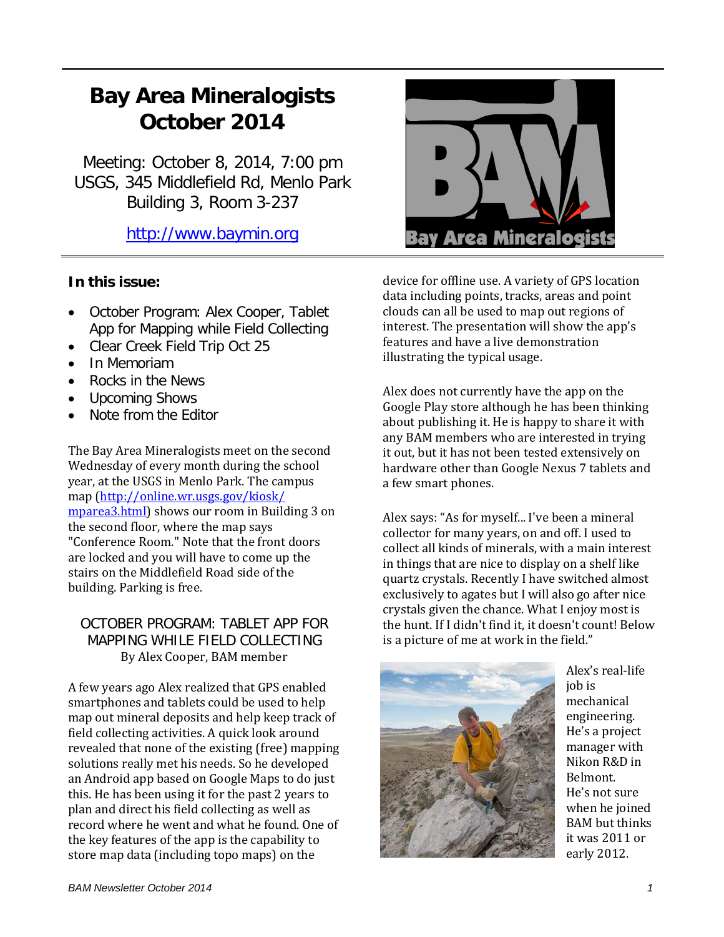## **Bay Area Mineralogists October 2014**

Meeting: October 8, 2014, 7:00 pm USGS, 345 Middlefield Rd, Menlo Park Building 3, Room 3-237

[http://www.baymin.org](http://www.baymin.org/)

## **In this issue:**

- October Program: Alex Cooper, Tablet App for Mapping while Field Collecting
- Clear Creek Field Trip Oct 25
- In Memoriam
- Rocks in the News
- Upcoming Shows
- Note from the Editor

The Bay Area Mineralogists meet on the second Wednesday of every month during the school year, at the USGS in Menlo Park. The campus map [\(http://online.wr.usgs.gov/kiosk/](http://online.wr.usgs.gov/kiosk/%20mparea3.html)  [mparea3.html\)](http://online.wr.usgs.gov/kiosk/%20mparea3.html) shows our room in Building 3 on the second floor, where the map says "Conference Room." Note that the front doors are locked and you will have to come up the stairs on the Middlefield Road side of the building. Parking is free.

## OCTOBER PROGRAM: TABLET APP FOR MAPPING WHILE FIELD COLLECTING By Alex Cooper, BAM member

A few years ago Alex realized that GPS enabled smartphones and tablets could be used to help map out mineral deposits and help keep track of field collecting activities. A quick look around revealed that none of the existing (free) mapping solutions really met his needs. So he developed an Android app based on Google Maps to do just this. He has been using it for the past 2 years to plan and direct his field collecting as well as record where he went and what he found. One of the key features of the app is the capability to store map data (including topo maps) on the



device for offline use. A variety of GPS location data including points, tracks, areas and point clouds can all be used to map out regions of interest. The presentation will show the app's features and have a live demonstration illustrating the typical usage.

Alex does not currently have the app on the Google Play store although he has been thinking about publishing it. He is happy to share it with any BAM members who are interested in trying it out, but it has not been tested extensively on hardware other than Google Nexus 7 tablets and a few smart phones.

Alex says: "As for myself... I've been a mineral collector for many years, on and off. I used to collect all kinds of minerals, with a main interest in things that are nice to display on a shelf like quartz crystals. Recently I have switched almost exclusively to agates but I will also go after nice crystals given the chance. What I enjoy most is the hunt. If I didn't find it, it doesn't count! Below is a picture of me at work in the field."



Alex's real-life job is mechanical engineering. He's a project manager with Nikon R&D in Belmont. He's not sure when he joined BAM but thinks it was 2011 or early 2012.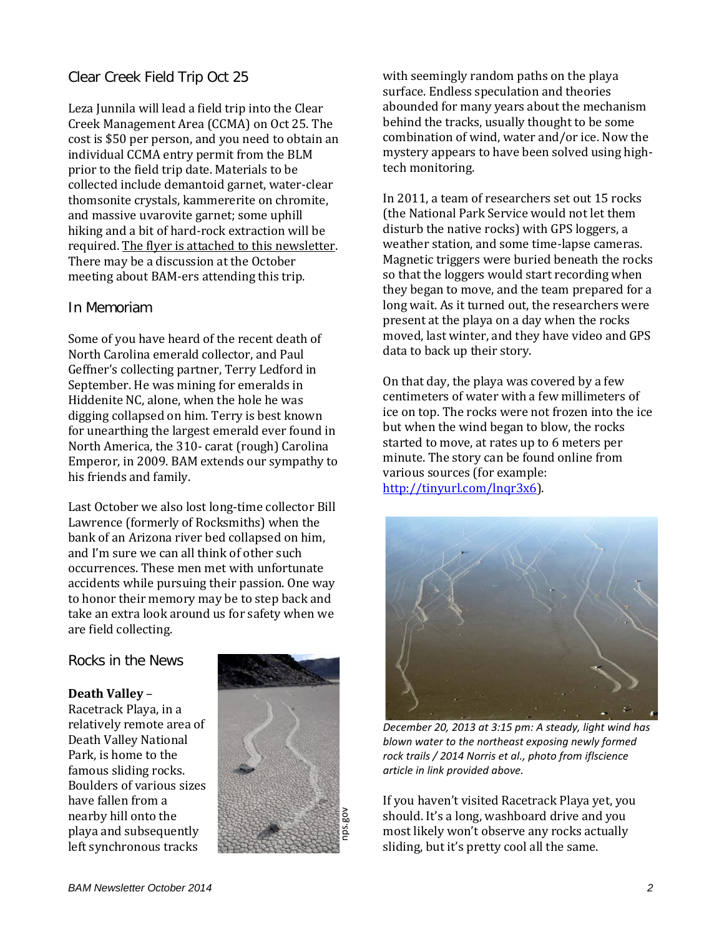## Clear Creek Field Trip Oct 25

Leza Junnila will lead a field trip into the Clear Creek Management Area (CCMA) on Oct 25. The cost is \$50 per person, and you need to obtain an individual CCMA entry permit from the BLM prior to the field trip date. Materials to be collected include demantoid garnet, water-clear thomsonite crystals, kammererite on chromite, and massive uvarovite garnet; some uphill hiking and a bit of hard-rock extraction will be required. The flyer is attached to this newsletter. There may be a discussion at the October meeting about BAM-ers attending this trip.

### In Memoriam

Some of you have heard of the recent death of North Carolina emerald collector, and Paul Geffner's collecting partner, Terry Ledford in September. He was mining for emeralds in Hiddenite NC, alone, when the hole he was digging collapsed on him. Terry is best known for unearthing the largest emerald ever found in North America, the 310- carat (rough) Carolina Emperor, in 2009. BAM extends our sympathy to his friends and family.

Last October we also lost long-time collector Bill Lawrence (formerly of Rocksmiths) when the bank of an Arizona river bed collapsed on him, and I'm sure we can all think of other such occurrences. These men met with unfortunate accidents while pursuing their passion. One way to honor their memory may be to step back and take an extra look around us for safety when we are field collecting.

Rocks in the News

#### **Death Valley** –

Racetrack Playa, in a relatively remote area of Death Valley National Park, is home to the famous sliding rocks. Boulders of various sizes have fallen from a nearby hill onto the playa and subsequently left synchronous tracks



with seemingly random paths on the playa surface. Endless speculation and theories abounded for many years about the mechanism behind the tracks, usually thought to be some combination of wind, water and/or ice. Now the mystery appears to have been solved using hightech monitoring.

In 2011, a team of researchers set out 15 rocks (the National Park Service would not let them disturb the native rocks) with GPS loggers, a weather station, and some time-lapse cameras. Magnetic triggers were buried beneath the rocks so that the loggers would start recording when they began to move, and the team prepared for a long wait. As it turned out, the researchers were present at the playa on a day when the rocks moved, last winter, and they have video and GPS data to back up their story.

On that day, the playa was covered by a few centimeters of water with a few millimeters of ice on top. The rocks were not frozen into the ice but when the wind began to blow, the rocks started to move, at rates up to 6 meters per minute. The story can be found online from various sources (for example: [http://tinyurl.com/lnqr3x6\)](http://tinyurl.com/lnqr3x6).



*December 20, 2013 at 3:15 pm: A steady, light wind has blown water to the northeast exposing newly formed rock trails / 2014 Norris et al., photo from iflscience article in link provided above.*

If you haven't visited Racetrack Playa yet, you should. It's a long, washboard drive and you most likely won't observe any rocks actually sliding, but it's pretty cool all the same.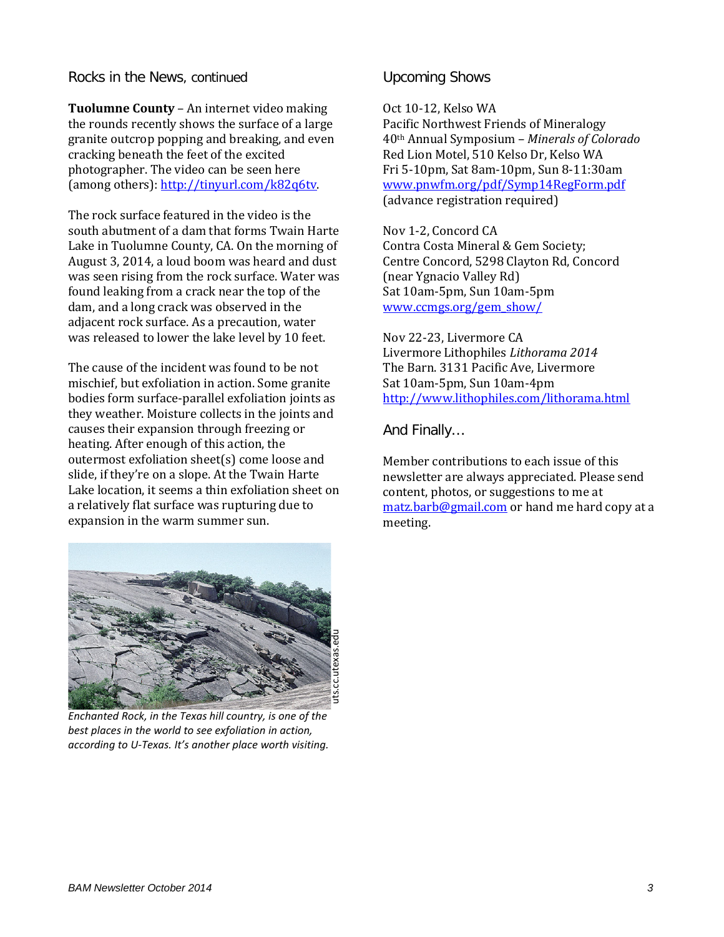Rocks in the News, continued

**Tuolumne County** – An internet video making the rounds recently shows the surface of a large granite outcrop popping and breaking, and even cracking beneath the feet of the excited photographer. The video can be seen here (among others): [http://tinyurl.com/k82q6tv.](http://tinyurl.com/k82q6tv)

The rock surface featured in the video is the south abutment of a dam that forms Twain Harte Lake in Tuolumne County, CA. On the morning of August 3, 2014, a loud boom was heard and dust was seen rising from the rock surface. Water was found leaking from a crack near the top of the dam, and a long crack was observed in the adjacent rock surface. As a precaution, water was released to lower the lake level by 10 feet.

The cause of the incident was found to be not mischief, but exfoliation in action. Some granite bodies form surface-parallel exfoliation joints as they weather. Moisture collects in the joints and causes their expansion through freezing or heating. After enough of this action, the outermost exfoliation sheet(s) come loose and slide, if they're on a slope. At the Twain Harte Lake location, it seems a thin exfoliation sheet on a relatively flat surface was rupturing due to expansion in the warm summer sun.

## Upcoming Shows

Oct 10-12, Kelso WA Pacific Northwest Friends of Mineralogy 40th Annual Symposium – *Minerals of Colorado* Red Lion Motel, 510 Kelso Dr, Kelso WA Fri 5-10pm, Sat 8am-10pm, Sun 8-11:30am [www.pnwfm.org/pdf/Symp14RegForm.pdf](http://www.pnwfm.org/pdf/Symp14RegForm.pdf) (advance registration required)

Nov 1-2, Concord CA Contra Costa Mineral & Gem Society; Centre Concord, 5298 Clayton Rd, Concord (near Ygnacio Valley Rd) Sat 10am-5pm, Sun 10am-5pm [www.ccmgs.org/gem\\_show/](http://www.ccmgs.org/gem_show/)

Nov 22-23, Livermore CA Livermore Lithophiles *Lithorama 2014* The Barn. 3131 Pacific Ave, Livermore Sat 10am-5pm, Sun 10am-4pm <http://www.lithophiles.com/lithorama.html>

And Finally…

Member contributions to each issue of this newsletter are always appreciated. Please send content, photos, or suggestions to me at [matz.barb@gmail.com](mailto:matz.barb@gmail.com) or hand me hard copy at a meeting.



*Enchanted Rock, in the Texas hill country, is one of the best places in the world to see exfoliation in action, according to U-Texas. It's another place worth visiting.*